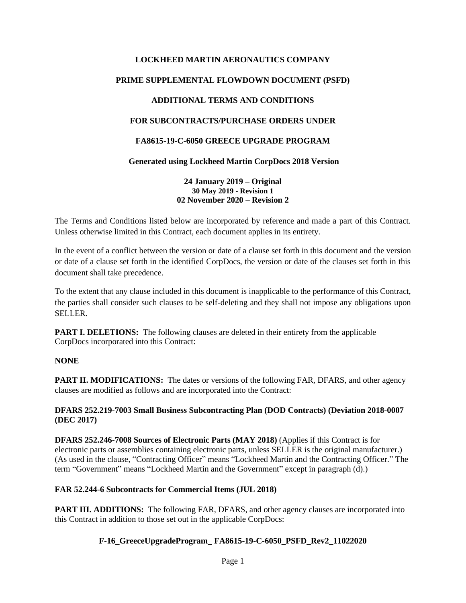# **LOCKHEED MARTIN AERONAUTICS COMPANY PRIME SUPPLEMENTAL FLOWDOWN DOCUMENT (PSFD) ADDITIONAL TERMS AND CONDITIONS FOR SUBCONTRACTS/PURCHASE ORDERS UNDER FA8615-19-C-6050 GREECE UPGRADE PROGRAM Generated using Lockheed Martin CorpDocs 2018 Version**

**24 January 2019 – Original 30 May 2019 - Revision 1 02 November 2020 – Revision 2**

The Terms and Conditions listed below are incorporated by reference and made a part of this Contract. Unless otherwise limited in this Contract, each document applies in its entirety.

In the event of a conflict between the version or date of a clause set forth in this document and the version or date of a clause set forth in the identified CorpDocs, the version or date of the clauses set forth in this document shall take precedence.

To the extent that any clause included in this document is inapplicable to the performance of this Contract, the parties shall consider such clauses to be self-deleting and they shall not impose any obligations upon SELLER.

**PART I. DELETIONS:** The following clauses are deleted in their entirety from the applicable CorpDocs incorporated into this Contract:

### **NONE**

**PART II. MODIFICATIONS:** The dates or versions of the following FAR, DFARS, and other agency clauses are modified as follows and are incorporated into the Contract:

#### **DFARS 252.219-7003 Small Business Subcontracting Plan (DOD Contracts) (Deviation 2018-0007 (DEC 2017)**

**DFARS 252.246-7008 Sources of Electronic Parts (MAY 2018)** (Applies if this Contract is for electronic parts or assemblies containing electronic parts, unless SELLER is the original manufacturer.) (As used in the clause, "Contracting Officer" means "Lockheed Martin and the Contracting Officer." The term "Government" means "Lockheed Martin and the Government" except in paragraph (d).)

### **FAR 52.244-6 Subcontracts for Commercial Items (JUL 2018)**

**PART III. ADDITIONS:** The following FAR, DFARS, and other agency clauses are incorporated into this Contract in addition to those set out in the applicable CorpDocs:

### **F-16\_GreeceUpgradeProgram\_ FA8615-19-C-6050\_PSFD\_Rev2\_11022020**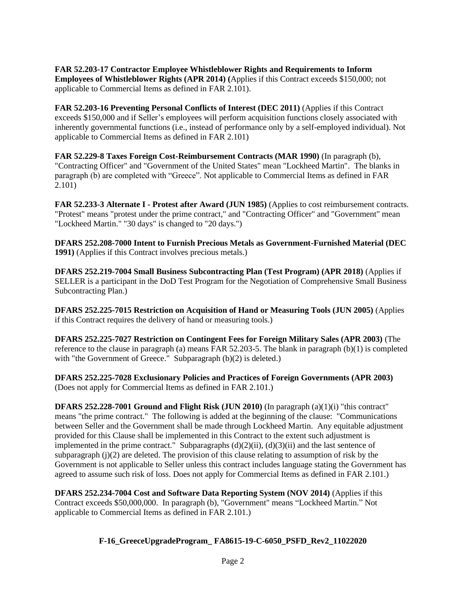**FAR 52.203-17 Contractor Employee Whistleblower Rights and Requirements to Inform Employees of Whistleblower Rights (APR 2014) (**Applies if this Contract exceeds \$150,000; not applicable to Commercial Items as defined in FAR 2.101).

**FAR 52.203-16 Preventing Personal Conflicts of Interest (DEC 2011)** (Applies if this Contract exceeds \$150,000 and if Seller's employees will perform acquisition functions closely associated with inherently governmental functions (i.e., instead of performance only by a self-employed individual). Not applicable to Commercial Items as defined in FAR 2.101)

**FAR 52.229-8 Taxes Foreign Cost-Reimbursement Contracts (MAR 1990)** (In paragraph (b), "Contracting Officer" and "Government of the United States" mean "Lockheed Martin". The blanks in paragraph (b) are completed with "Greece". Not applicable to Commercial Items as defined in FAR 2.101)

**FAR 52.233-3 Alternate I - Protest after Award (JUN 1985)** (Applies to cost reimbursement contracts. "Protest" means "protest under the prime contract," and "Contracting Officer" and "Government" mean "Lockheed Martin." "30 days" is changed to "20 days.")

**DFARS 252.208-7000 Intent to Furnish Precious Metals as Government-Furnished Material (DEC 1991)** (Applies if this Contract involves precious metals.)

**DFARS 252.219-7004 Small Business Subcontracting Plan (Test Program) (APR 2018)** (Applies if SELLER is a participant in the DoD Test Program for the Negotiation of Comprehensive Small Business Subcontracting Plan.)

**DFARS 252.225-7015 Restriction on Acquisition of Hand or Measuring Tools (JUN 2005)** (Applies if this Contract requires the delivery of hand or measuring tools.)

**DFARS 252.225-7027 Restriction on Contingent Fees for Foreign Military Sales (APR 2003)** (The reference to the clause in paragraph (a) means FAR 52.203-5. The blank in paragraph (b)(1) is completed with "the Government of Greece." Subparagraph (b)(2) is deleted.)

**DFARS 252.225-7028 Exclusionary Policies and Practices of Foreign Governments (APR 2003)** (Does not apply for Commercial Items as defined in FAR 2.101.)

**DFARS 252.228-7001 Ground and Flight Risk (JUN 2010)** (In paragraph (a)(1)(i) "this contract" means "the prime contract." The following is added at the beginning of the clause: "Communications between Seller and the Government shall be made through Lockheed Martin. Any equitable adjustment provided for this Clause shall be implemented in this Contract to the extent such adjustment is implemented in the prime contract." Subparagraphs  $(d)(2)(ii)$ ,  $(d)(3)(ii)$  and the last sentence of subparagraph  $(i)(2)$  are deleted. The provision of this clause relating to assumption of risk by the Government is not applicable to Seller unless this contract includes language stating the Government has agreed to assume such risk of loss. Does not apply for Commercial Items as defined in FAR 2.101.)

**DFARS 252.234-7004 Cost and Software Data Reporting System (NOV 2014)** (Applies if this Contract exceeds \$50,000,000. In paragraph (b), "Government" means "Lockheed Martin." Not applicable to Commercial Items as defined in FAR 2.101.)

### **F-16\_GreeceUpgradeProgram\_ FA8615-19-C-6050\_PSFD\_Rev2\_11022020**